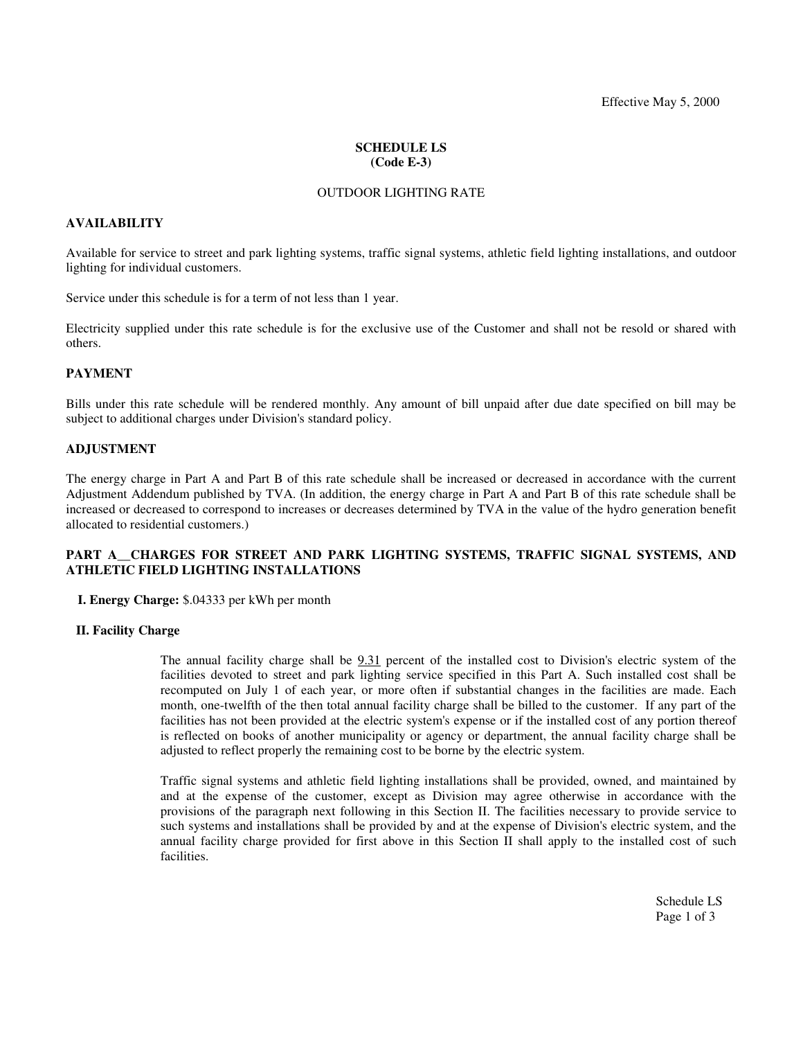# **SCHEDULE LS (Code E-3)**

## OUTDOOR LIGHTING RATE

## **AVAILABILITY**

Available for service to street and park lighting systems, traffic signal systems, athletic field lighting installations, and outdoor lighting for individual customers.

Service under this schedule is for a term of not less than 1 year.

Electricity supplied under this rate schedule is for the exclusive use of the Customer and shall not be resold or shared with others.

#### **PAYMENT**

Bills under this rate schedule will be rendered monthly. Any amount of bill unpaid after due date specified on bill may be subject to additional charges under Division's standard policy.

## **ADJUSTMENT**

The energy charge in Part A and Part B of this rate schedule shall be increased or decreased in accordance with the current Adjustment Addendum published by TVA. (In addition, the energy charge in Part A and Part B of this rate schedule shall be increased or decreased to correspond to increases or decreases determined by TVA in the value of the hydro generation benefit allocated to residential customers.)

# **PART A\_\_CHARGES FOR STREET AND PARK LIGHTING SYSTEMS, TRAFFIC SIGNAL SYSTEMS, AND ATHLETIC FIELD LIGHTING INSTALLATIONS**

**I. Energy Charge:** \$.04333 per kWh per month

#### **II. Facility Charge**

The annual facility charge shall be 9.31 percent of the installed cost to Division's electric system of the facilities devoted to street and park lighting service specified in this Part A. Such installed cost shall be recomputed on July 1 of each year, or more often if substantial changes in the facilities are made. Each month, one-twelfth of the then total annual facility charge shall be billed to the customer. If any part of the facilities has not been provided at the electric system's expense or if the installed cost of any portion thereof is reflected on books of another municipality or agency or department, the annual facility charge shall be adjusted to reflect properly the remaining cost to be borne by the electric system.

Traffic signal systems and athletic field lighting installations shall be provided, owned, and maintained by and at the expense of the customer, except as Division may agree otherwise in accordance with the provisions of the paragraph next following in this Section II. The facilities necessary to provide service to such systems and installations shall be provided by and at the expense of Division's electric system, and the annual facility charge provided for first above in this Section II shall apply to the installed cost of such facilities.

> Schedule LS Page 1 of 3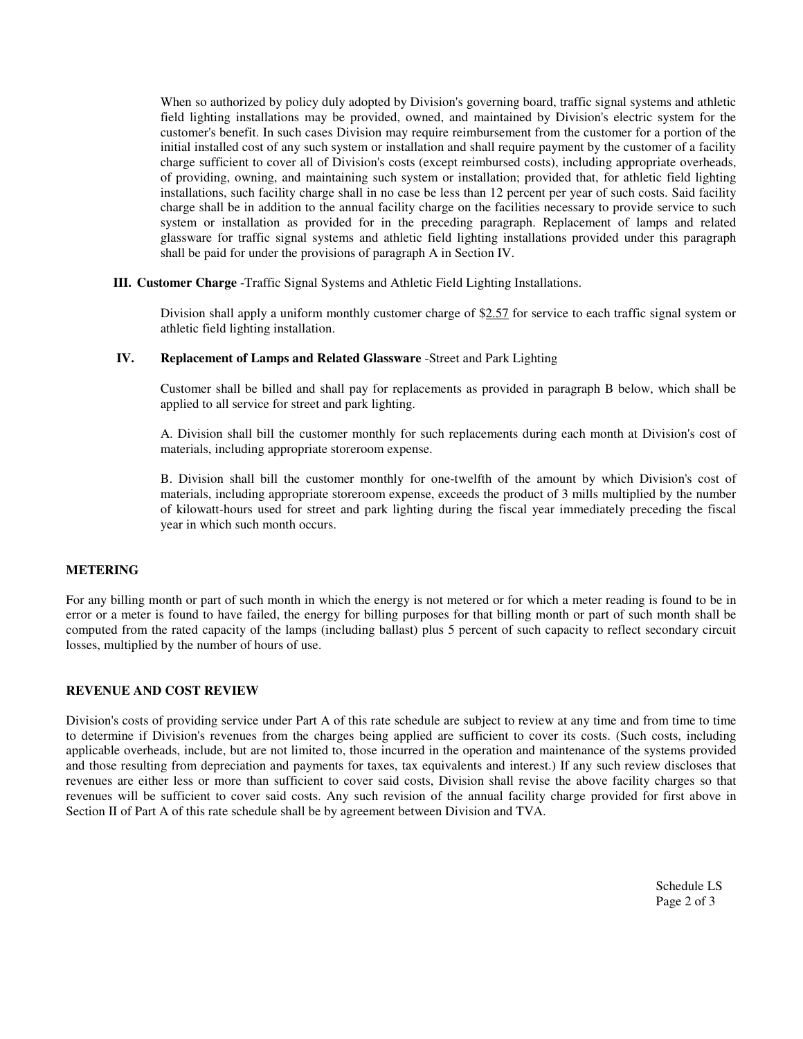When so authorized by policy duly adopted by Division's governing board, traffic signal systems and athletic field lighting installations may be provided, owned, and maintained by Division's electric system for the customer's benefit. In such cases Division may require reimbursement from the customer for a portion of the initial installed cost of any such system or installation and shall require payment by the customer of a facility charge sufficient to cover all of Division's costs (except reimbursed costs), including appropriate overheads, of providing, owning, and maintaining such system or installation; provided that, for athletic field lighting installations, such facility charge shall in no case be less than 12 percent per year of such costs. Said facility charge shall be in addition to the annual facility charge on the facilities necessary to provide service to such system or installation as provided for in the preceding paragraph. Replacement of lamps and related glassware for traffic signal systems and athletic field lighting installations provided under this paragraph shall be paid for under the provisions of paragraph A in Section IV.

**III. Customer Charge** -Traffic Signal Systems and Athletic Field Lighting Installations.

Division shall apply a uniform monthly customer charge of \$2.57 for service to each traffic signal system or athletic field lighting installation.

#### **IV. Replacement of Lamps and Related Glassware** -Street and Park Lighting

Customer shall be billed and shall pay for replacements as provided in paragraph B below, which shall be applied to all service for street and park lighting.

A. Division shall bill the customer monthly for such replacements during each month at Division's cost of materials, including appropriate storeroom expense.

B. Division shall bill the customer monthly for one-twelfth of the amount by which Division's cost of materials, including appropriate storeroom expense, exceeds the product of 3 mills multiplied by the number of kilowatt-hours used for street and park lighting during the fiscal year immediately preceding the fiscal year in which such month occurs.

## **METERING**

For any billing month or part of such month in which the energy is not metered or for which a meter reading is found to be in error or a meter is found to have failed, the energy for billing purposes for that billing month or part of such month shall be computed from the rated capacity of the lamps (including ballast) plus 5 percent of such capacity to reflect secondary circuit losses, multiplied by the number of hours of use.

## **REVENUE AND COST REVIEW**

Division's costs of providing service under Part A of this rate schedule are subject to review at any time and from time to time to determine if Division's revenues from the charges being applied are sufficient to cover its costs. (Such costs, including applicable overheads, include, but are not limited to, those incurred in the operation and maintenance of the systems provided and those resulting from depreciation and payments for taxes, tax equivalents and interest.) If any such review discloses that revenues are either less or more than sufficient to cover said costs, Division shall revise the above facility charges so that revenues will be sufficient to cover said costs. Any such revision of the annual facility charge provided for first above in Section II of Part A of this rate schedule shall be by agreement between Division and TVA.

> Schedule LS Page 2 of 3